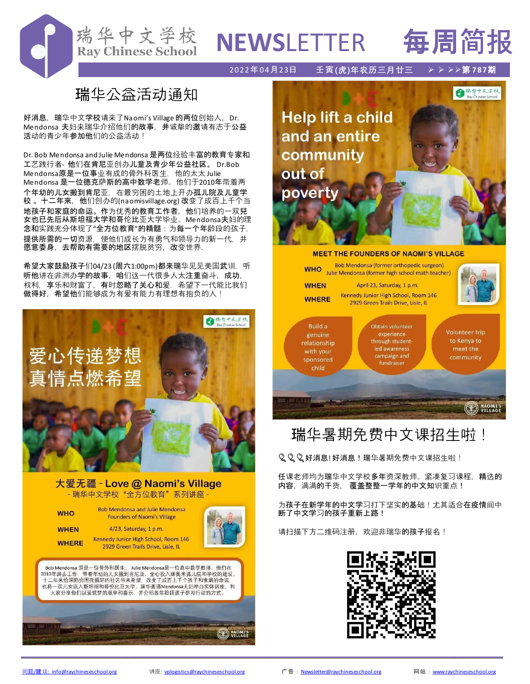

# **NEWS**LETTER 每周简报

### 2022年04月23日 壬寅**(虎)年农历三月廿三** ➢ ➢ ➢➢第 **787**期

## 瑞华公益活动通知

好消息,瑞华中文学校请来了Naomi's Village 的两位创始人, Dr. Mendonsa 夫妇来瑞华介绍他们的故事,并诚挚的邀请有志于公益 活动的青少年参加他们的公益活动!

Dr. Bob Mendonsa and Julie Mendonsa 是两位经验丰富的教育专家和 工艺践行者- 他们在肯尼亚创办儿童及青少年公益社区。 Dr.Bob Mendonsa原是一位事业有成的骨外科医生, 他的太太 Julie Mendonsa 是一位德克萨斯的高中数学老师。他们于2010年带着两 个年幼的儿女搬到肯尼亚,在最穷困的土地上开办孤儿院及儿童学 校 。十二年來,他们创办的(naomisvillage.org) 改变了成百上千个当 地孩子和家庭的命运。作为优秀的教育工作者,他们培养的一双兒 女也已先后从斯坦福大学和哥伦比亚大学毕业。Mendonsa夫妇的理 念和实践充分体现了"全方位教育"的精髓:为每一个年龄段的孩子, 提供所需的一切资源, 使他们成长为有勇气和领导力的新一代, 并 愿意委身,去帮助有需要的地区摆脱贫穷,改变世界.

希望大家鼓励孩子们04/23 (周六1:00pm)都来瑞华见见美国武训, 听 听他讲在非洲办学的故事,咱们这一代很多人太注重奋斗,成功, 权利,享乐和财富了,有时忽略了关心和爱,希望下一代能比我们 做得好,希望他们能够成为有爱有能力有理想有抱负的人!



大爱无疆 - Love @ Naomi's Village - 瑞华中文学校"全方位教育"系列讲座 -

| <b>WHO</b>   | <b>Bob Mendonsa and Julie Mendonsa</b><br><b>Founders of Naomi's Village</b> |  |
|--------------|------------------------------------------------------------------------------|--|
| <b>WHEN</b>  | 4/23, Saturday, 1 p.m.                                                       |  |
| <b>WHERE</b> | Kennedy Junior High School, Room 146<br>2929 Green Trails Drive, Lisle, IL   |  |





**MEET THE FOUNDERS OF NAOMI'S VILLAGE Bob Mendonsa (former orthopedic surgeon)** WHO Julie Mendonsa (former high school math teacher) **WHEN** April 23, Saturday, 1 p.m. Kennedy Junior High School, Room 146 **WHERE** 2929 Green Trails Drive, Lisle, IL

**Build a** genuine relationship with your sponsored child

Obtain volunteer experience through studentcampaign and fundraiser

Volunteer trip to Kenya to meet the community

NAOMI'S

## 瑞华暑期免费中文课招生啦!

Q Q Q 好消息! 好消息! 瑞华暑期免费中文课招生啦!

任课老师均为瑞华中文学校多年资深教师。紧凑复习课程,精选的 内容,满满的干货,覆盖整整一学年的中文知识重点!

为**孩子在新学年的中文学**习打下坚实**的基**础!尤其适合**在疫情**间中 断了中文学习的孩子重新上路!

请扫描下方二维码注册,欢迎非瑞华的孩子报名!



\_\_\_\_\_\_\_\_\_\_\_\_\_\_\_\_\_\_\_\_\_\_\_\_\_\_\_\_\_\_\_\_\_\_\_\_\_\_\_\_\_\_\_\_\_\_\_\_\_\_\_\_\_\_\_\_\_\_\_\_\_\_\_\_\_\_\_\_\_\_\_\_\_\_\_\_\_\_\_\_\_\_\_\_\_\_\_\_\_\_\_\_\_\_\_\_\_\_\_\_\_\_\_\_\_\_\_\_\_\_\_\_\_\_\_\_\_\_\_\_\_\_\_\_\_